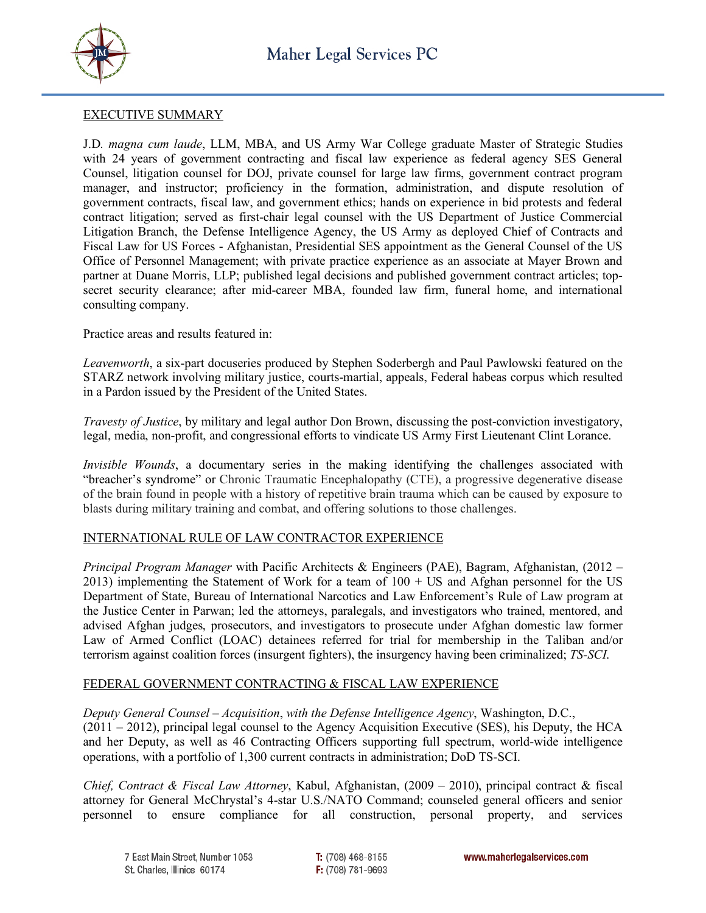



### EXECUTIVE SUMMARY

J.D*. magna cum laude*, LLM, MBA, and US Army War College graduate Master of Strategic Studies with 24 years of government contracting and fiscal law experience as federal agency SES General Counsel, litigation counsel for DOJ, private counsel for large law firms, government contract program manager, and instructor; proficiency in the formation, administration, and dispute resolution of government contracts, fiscal law, and government ethics; hands on experience in bid protests and federal contract litigation; served as first-chair legal counsel with the US Department of Justice Commercial Litigation Branch, the Defense Intelligence Agency, the US Army as deployed Chief of Contracts and Fiscal Law for US Forces - Afghanistan, Presidential SES appointment as the General Counsel of the US Office of Personnel Management; with private practice experience as an associate at Mayer Brown and partner at Duane Morris, LLP; published legal decisions and published government contract articles; topsecret security clearance; after mid-career MBA, founded law firm, funeral home, and international consulting company.

Practice areas and results featured in:

*Leavenworth*, a six-part docuseries produced by Stephen Soderbergh and Paul Pawlowski featured on the STARZ network involving military justice, courts-martial, appeals, Federal habeas corpus which resulted in a Pardon issued by the President of the United States.

*Travesty of Justice*, by military and legal author Don Brown, discussing the post-conviction investigatory, legal, media, non-profit, and congressional efforts to vindicate US Army First Lieutenant Clint Lorance.

*Invisible Wounds*, a documentary series in the making identifying the challenges associated with "breacher's syndrome" or Chronic Traumatic Encephalopathy (CTE), a progressive degenerative disease of the brain found in people with a history of repetitive brain trauma which can be caused by exposure to blasts during military training and combat, and offering solutions to those challenges.

# INTERNATIONAL RULE OF LAW CONTRACTOR EXPERIENCE

*Principal Program Manager* with Pacific Architects & Engineers (PAE), Bagram, Afghanistan, (2012 – 2013) implementing the Statement of Work for a team of 100 + US and Afghan personnel for the US Department of State, Bureau of International Narcotics and Law Enforcement's Rule of Law program at the Justice Center in Parwan; led the attorneys, paralegals, and investigators who trained, mentored, and advised Afghan judges, prosecutors, and investigators to prosecute under Afghan domestic law former Law of Armed Conflict (LOAC) detainees referred for trial for membership in the Taliban and/or terrorism against coalition forces (insurgent fighters), the insurgency having been criminalized; *TS-SCI*.

# FEDERAL GOVERNMENT CONTRACTING & FISCAL LAW EXPERIENCE

*Deputy General Counsel – Acquisition*, *with the Defense Intelligence Agency*, Washington, D.C.,

(2011 – 2012), principal legal counsel to the Agency Acquisition Executive (SES), his Deputy, the HCA and her Deputy, as well as 46 Contracting Officers supporting full spectrum, world-wide intelligence operations, with a portfolio of 1,300 current contracts in administration; DoD TS-SCI.

*Chief, Contract & Fiscal Law Attorney*, Kabul, Afghanistan, (2009 – 2010), principal contract & fiscal attorney for General McChrystal's 4-star U.S./NATO Command; counseled general officers and senior personnel to ensure compliance for all construction, personal property, and services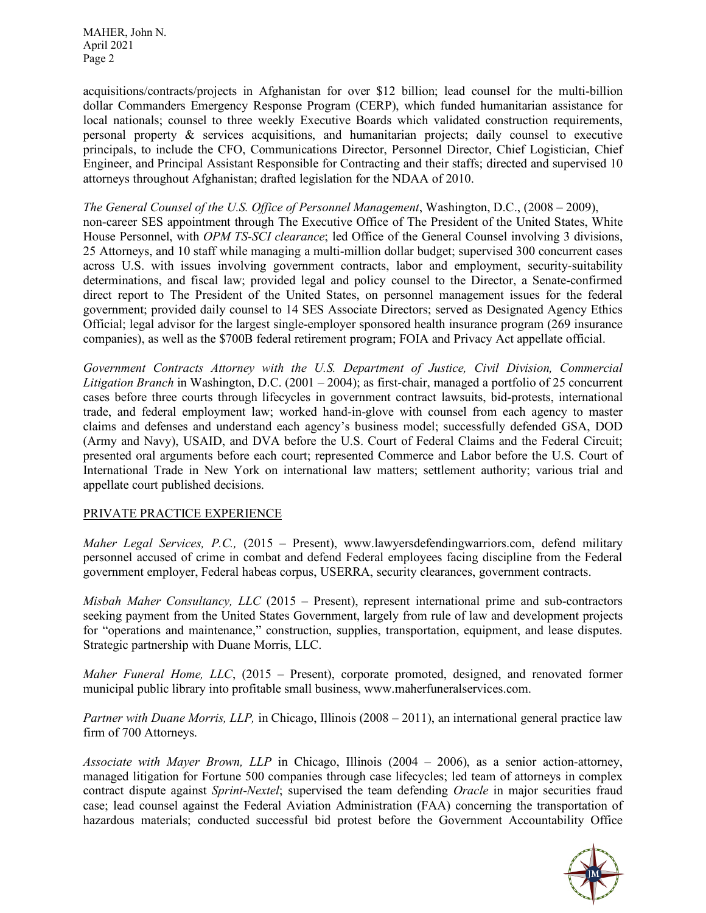acquisitions/contracts/projects in Afghanistan for over \$12 billion; lead counsel for the multi-billion dollar Commanders Emergency Response Program (CERP), which funded humanitarian assistance for local nationals; counsel to three weekly Executive Boards which validated construction requirements, personal property & services acquisitions, and humanitarian projects; daily counsel to executive principals, to include the CFO, Communications Director, Personnel Director, Chief Logistician, Chief Engineer, and Principal Assistant Responsible for Contracting and their staffs; directed and supervised 10 attorneys throughout Afghanistan; drafted legislation for the NDAA of 2010.

*The General Counsel of the U.S. Office of Personnel Management*, Washington, D.C., (2008 – 2009), non-career SES appointment through The Executive Office of The President of the United States, White House Personnel, with *OPM TS-SCI clearance*; led Office of the General Counsel involving 3 divisions, 25 Attorneys, and 10 staff while managing a multi-million dollar budget; supervised 300 concurrent cases across U.S. with issues involving government contracts, labor and employment, security-suitability determinations, and fiscal law; provided legal and policy counsel to the Director, a Senate-confirmed direct report to The President of the United States, on personnel management issues for the federal government; provided daily counsel to 14 SES Associate Directors; served as Designated Agency Ethics Official; legal advisor for the largest single-employer sponsored health insurance program (269 insurance companies), as well as the \$700B federal retirement program; FOIA and Privacy Act appellate official.

*Government Contracts Attorney with the U.S. Department of Justice, Civil Division, Commercial Litigation Branch* in Washington, D.C. (2001 – 2004); as first-chair, managed a portfolio of 25 concurrent cases before three courts through lifecycles in government contract lawsuits, bid-protests, international trade, and federal employment law; worked hand-in-glove with counsel from each agency to master claims and defenses and understand each agency's business model; successfully defended GSA, DOD (Army and Navy), USAID, and DVA before the U.S. Court of Federal Claims and the Federal Circuit; presented oral arguments before each court; represented Commerce and Labor before the U.S. Court of International Trade in New York on international law matters; settlement authority; various trial and appellate court published decisions.

# PRIVATE PRACTICE EXPERIENCE

*Maher Legal Services, P.C.,* (2015 – Present), www.lawyersdefendingwarriors.com, defend military personnel accused of crime in combat and defend Federal employees facing discipline from the Federal government employer, Federal habeas corpus, USERRA, security clearances, government contracts.

*Misbah Maher Consultancy, LLC* (2015 – Present), represent international prime and sub-contractors seeking payment from the United States Government, largely from rule of law and development projects for "operations and maintenance," construction, supplies, transportation, equipment, and lease disputes. Strategic partnership with Duane Morris, LLC.

*Maher Funeral Home, LLC*, (2015 – Present), corporate promoted, designed, and renovated former municipal public library into profitable small business, www.maherfuneralservices.com.

*Partner with Duane Morris, LLP,* in Chicago, Illinois (2008 – 2011), an international general practice law firm of 700 Attorneys.

*Associate with Mayer Brown, LLP* in Chicago, Illinois (2004 – 2006), as a senior action-attorney, managed litigation for Fortune 500 companies through case lifecycles; led team of attorneys in complex contract dispute against *Sprint-Nextel*; supervised the team defending *Oracle* in major securities fraud case; lead counsel against the Federal Aviation Administration (FAA) concerning the transportation of hazardous materials; conducted successful bid protest before the Government Accountability Office

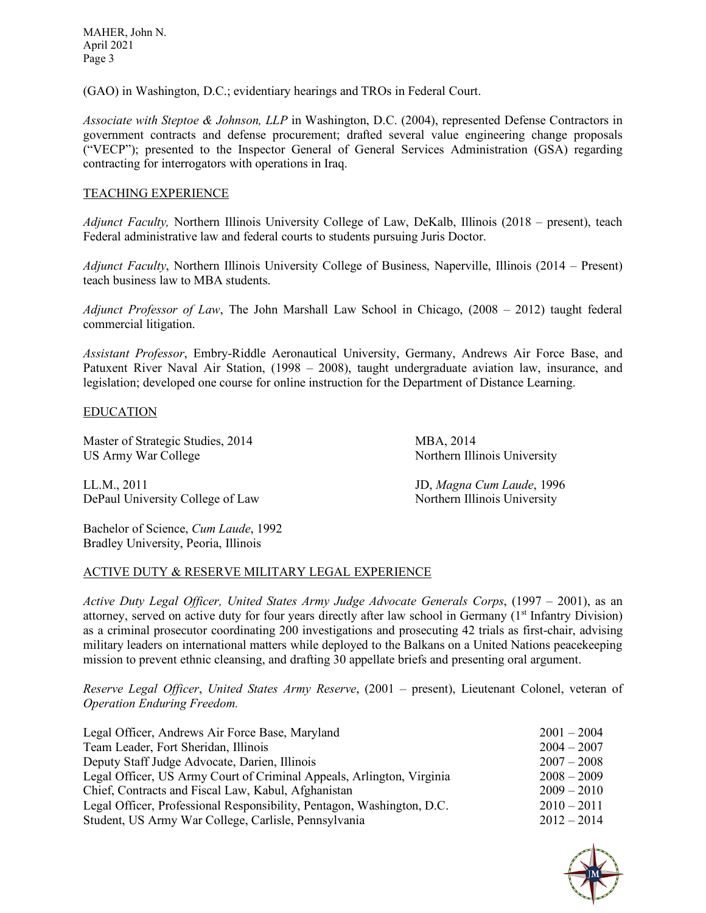(GAO) in Washington, D.C.; evidentiary hearings and TROs in Federal Court.

*Associate with Steptoe & Johnson, LLP* in Washington, D.C. (2004), represented Defense Contractors in government contracts and defense procurement; drafted several value engineering change proposals ("VECP"); presented to the Inspector General of General Services Administration (GSA) regarding contracting for interrogators with operations in Iraq.

# TEACHING EXPERIENCE

*Adjunct Faculty,* Northern Illinois University College of Law, DeKalb, Illinois (2018 – present), teach Federal administrative law and federal courts to students pursuing Juris Doctor.

*Adjunct Faculty*, Northern Illinois University College of Business, Naperville, Illinois (2014 – Present) teach business law to MBA students.

*Adjunct Professor of Law*, The John Marshall Law School in Chicago, (2008 – 2012) taught federal commercial litigation.

*Assistant Professor*, Embry-Riddle Aeronautical University, Germany, Andrews Air Force Base, and Patuxent River Naval Air Station, (1998 – 2008), taught undergraduate aviation law, insurance, and legislation; developed one course for online instruction for the Department of Distance Learning.

### EDUCATION

Master of Strategic Studies, 2014 MBA, 2014 US Army War College Northern Illinois University

LL.M., 2011 JD, *Magna Cum Laude*, 1996 DePaul University College of Law Northern Illinois University

Bachelor of Science, *Cum Laude*, 1992 Bradley University, Peoria, Illinois

#### ACTIVE DUTY & RESERVE MILITARY LEGAL EXPERIENCE

*Active Duty Legal Officer, United States Army Judge Advocate Generals Corps*, (1997 – 2001), as an attorney, served on active duty for four years directly after law school in Germany  $(1<sup>st</sup>$  Infantry Division) as a criminal prosecutor coordinating 200 investigations and prosecuting 42 trials as first-chair, advising military leaders on international matters while deployed to the Balkans on a United Nations peacekeeping mission to prevent ethnic cleansing, and drafting 30 appellate briefs and presenting oral argument.

*Reserve Legal Officer*, *United States Army Reserve*, (2001 – present), Lieutenant Colonel, veteran of *Operation Enduring Freedom.* 

| Legal Officer, Andrews Air Force Base, Maryland                        | $2001 - 2004$ |
|------------------------------------------------------------------------|---------------|
| Team Leader, Fort Sheridan, Illinois                                   | $2004 - 2007$ |
| Deputy Staff Judge Advocate, Darien, Illinois                          | $2007 - 2008$ |
| Legal Officer, US Army Court of Criminal Appeals, Arlington, Virginia  | $2008 - 2009$ |
| Chief, Contracts and Fiscal Law, Kabul, Afghanistan                    | $2009 - 2010$ |
| Legal Officer, Professional Responsibility, Pentagon, Washington, D.C. | $2010 - 2011$ |
| Student, US Army War College, Carlisle, Pennsylvania                   | $2012 - 2014$ |

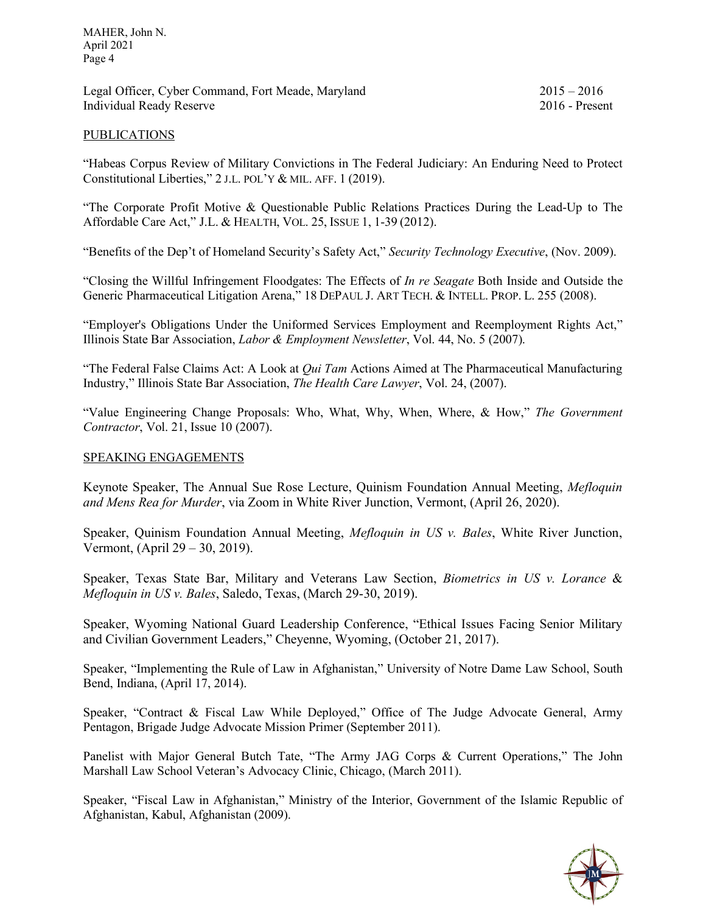Legal Officer, Cyber Command, Fort Meade, Maryland 2015 – 2016 Individual Ready Reserve 2016 - Present

### PUBLICATIONS

"Habeas Corpus Review of Military Convictions in The Federal Judiciary: An Enduring Need to Protect Constitutional Liberties," 2 J.L. POL'Y & MIL. AFF. 1 (2019).

"The Corporate Profit Motive & Questionable Public Relations Practices During the Lead-Up to The Affordable Care Act," J.L. & HEALTH, VOL. 25, ISSUE 1, 1-39 (2012).

"Benefits of the Dep't of Homeland Security's Safety Act," *Security Technology Executive*, (Nov. 2009).

"Closing the Willful Infringement Floodgates: The Effects of *In re Seagate* Both Inside and Outside the Generic Pharmaceutical Litigation Arena," 18 DEPAUL J. ART TECH. & INTELL. PROP. L. 255 (2008).

"Employer's Obligations Under the Uniformed Services Employment and Reemployment Rights Act," Illinois State Bar Association, *Labor & Employment Newsletter*, Vol. 44, No. 5 (2007).

"The Federal False Claims Act: A Look at *Qui Tam* Actions Aimed at The Pharmaceutical Manufacturing Industry," Illinois State Bar Association, *The Health Care Lawyer*, Vol. 24, (2007).

"Value Engineering Change Proposals: Who, What, Why, When, Where, & How," *The Government Contractor*, Vol. 21, Issue 10 (2007).

### SPEAKING ENGAGEMENTS

Keynote Speaker, The Annual Sue Rose Lecture, Quinism Foundation Annual Meeting, *Mefloquin and Mens Rea for Murder*, via Zoom in White River Junction, Vermont, (April 26, 2020).

Speaker, Quinism Foundation Annual Meeting, *Mefloquin in US v. Bales*, White River Junction, Vermont, (April 29 – 30, 2019).

Speaker, Texas State Bar, Military and Veterans Law Section, *Biometrics in US v. Lorance* & *Mefloquin in US v. Bales*, Saledo, Texas, (March 29-30, 2019).

Speaker, Wyoming National Guard Leadership Conference, "Ethical Issues Facing Senior Military and Civilian Government Leaders," Cheyenne, Wyoming, (October 21, 2017).

Speaker, "Implementing the Rule of Law in Afghanistan," University of Notre Dame Law School, South Bend, Indiana, (April 17, 2014).

Speaker, "Contract & Fiscal Law While Deployed," Office of The Judge Advocate General, Army Pentagon, Brigade Judge Advocate Mission Primer (September 2011).

Panelist with Major General Butch Tate, "The Army JAG Corps & Current Operations," The John Marshall Law School Veteran's Advocacy Clinic, Chicago, (March 2011).

Speaker, "Fiscal Law in Afghanistan," Ministry of the Interior, Government of the Islamic Republic of Afghanistan, Kabul, Afghanistan (2009).